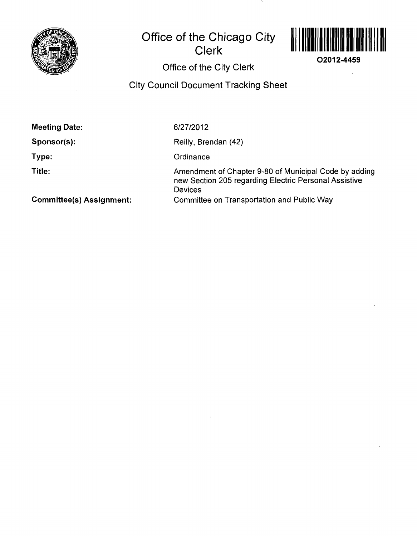

## **Office of the Chicago City Clerk**



**O2012-4459** 

**Office of the City Clerk** 

**City Council Document Tracking Sheet** 

**Meeting Date:** 

**Sponsor(s):** 

**Type:** 

**Title:** 

6/27/2012

Reilly, Brendan (42)

**Ordinance** 

Amendment of Chapter 9-80 of Municipal Code by adding new Section 205 regarding Electric Personal Assistive Devices Committee on Transportation and Public Way

**Committee(s) Assignment:**